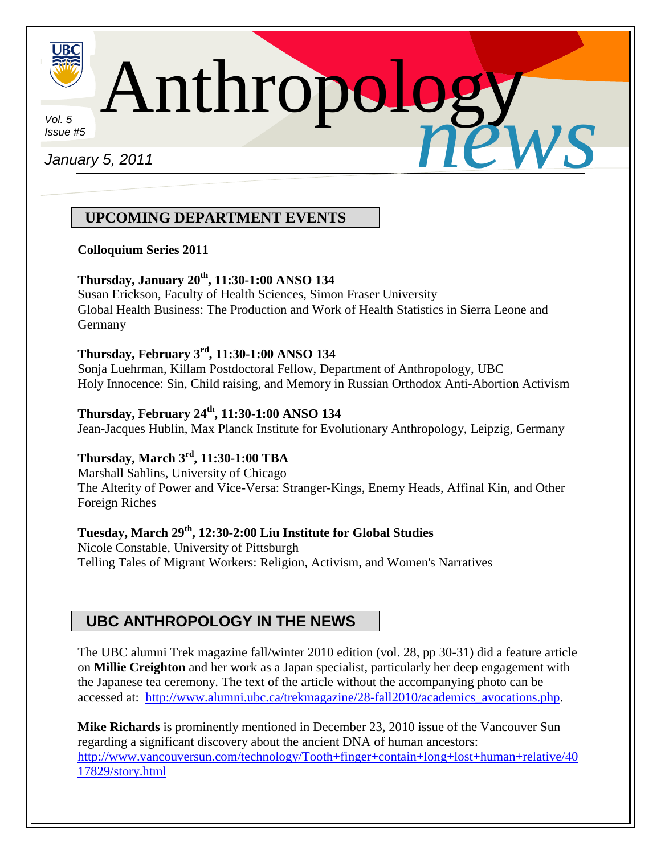

*Vol. 5 Issue #5*

## *January 5, 2011*

# **UPCOMING DEPARTMENT EVENTS**

### **Colloquium Series 2011**

## **Thursday, January 20th , 11:30-1:00 ANSO 134**

Susan Erickson, Faculty of Health Sciences, Simon Fraser University Global Health Business: The Production and Work of Health Statistics in Sierra Leone and Germany

Anthropology

*news*

### **Thursday, February 3rd , 11:30-1:00 ANSO 134**

Sonja Luehrman, Killam Postdoctoral Fellow, Department of Anthropology, UBC Holy Innocence: Sin, Child raising, and Memory in Russian Orthodox Anti-Abortion Activism

## **Thursday, February 24th, 11:30-1:00 ANSO 134**

Jean-Jacques Hublin, Max Planck Institute for Evolutionary Anthropology, Leipzig, Germany

## **Thursday, March 3rd, 11:30-1:00 TBA**

Marshall Sahlins, University of Chicago The Alterity of Power and Vice-Versa: Stranger-Kings, Enemy Heads, Affinal Kin, and Other Foreign Riches

## **Tuesday, March 29th, 12:30-2:00 Liu Institute for Global Studies**

Nicole Constable, University of Pittsburgh Telling Tales of Migrant Workers: Religion, Activism, and Women's Narratives

# **UBC ANTHROPOLOGY IN THE NEWS**

The UBC alumni Trek magazine fall/winter 2010 edition (vol. 28, pp 30-31) did a feature article on **Millie Creighton** and her work as a Japan specialist, particularly her deep engagement with the Japanese tea ceremony. The text of the article without the accompanying photo can be accessed at: [http://www.alumni.ubc.ca/trekmagazine/28-fall2010/academics\\_avocations.php.](http://www.alumni.ubc.ca/trekmagazine/28-fall2010/academics_avocations.php)

**Mike Richards** is prominently mentioned in December 23, 2010 issue of the Vancouver Sun regarding a significant discovery about the ancient DNA of human ancestors: [http://www.vancouversun.com/technology/Tooth+finger+contain+long+lost+human+relative/40](http://www.vancouversun.com/technology/Tooth+finger+contain+long+lost+human+relative/4017829/story.html) [17829/story.html](http://www.vancouversun.com/technology/Tooth+finger+contain+long+lost+human+relative/4017829/story.html)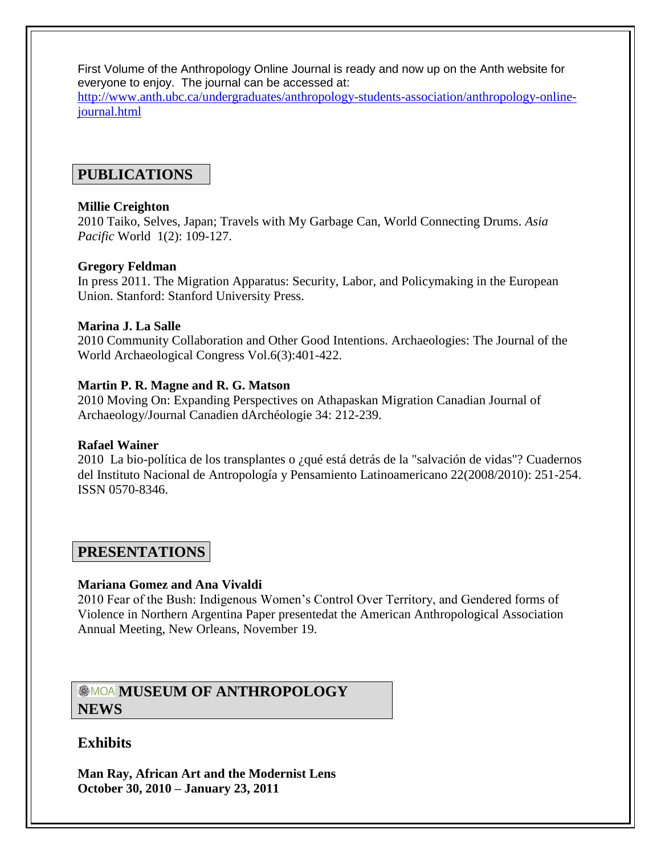First Volume of the Anthropology Online Journal is ready and now up on the Anth website for everyone to enjoy. The journal can be accessed at: [http://www.anth.ubc.ca/undergraduates/anthropology-students-association/anthropology-online](http://www.anth.ubc.ca/undergraduates/anthropology-students-association/anthropology-online-journal.html)[journal.html](http://www.anth.ubc.ca/undergraduates/anthropology-students-association/anthropology-online-journal.html)

### **PUBLICATIONS**

#### **Millie Creighton**

2010 Taiko, Selves, Japan; Travels with My Garbage Can, World Connecting Drums. *Asia Pacific* World 1(2): 109-127.

#### **Gregory Feldman**

In press 2011. The Migration Apparatus: Security, Labor, and Policymaking in the European Union. Stanford: Stanford University Press.

#### **Marina J. La Salle**

2010 Community Collaboration and Other Good Intentions. Archaeologies: The Journal of the World Archaeological Congress Vol.6(3):401-422.

#### **Martin P. R. Magne and R. G. Matson**

2010 Moving On: Expanding Perspectives on Athapaskan Migration Canadian Journal of Archaeology/Journal Canadien dArchéologie 34: 212-239.

#### **Rafael Wainer**

2010 La bio-política de los transplantes o ¿qué está detrás de la "salvación de vidas"? Cuadernos del Instituto Nacional de Antropología y Pensamiento Latinoamericano 22(2008/2010): 251-254. ISSN 0570-8346.

### **PRESENTATIONS**

#### **Mariana Gomez and Ana Vivaldi**

2010 Fear of the Bush: Indigenous Women's Control Over Territory, and Gendered forms of Violence in Northern Argentina Paper presentedat the American Anthropological Association Annual Meeting, New Orleans, November 19.

## **MOA MUSEUM OF ANTHROPOLOGY NEWS**

### **Exhibits**

**Man Ray, African Art and the Modernist Lens October 30, 2010 – January 23, 2011**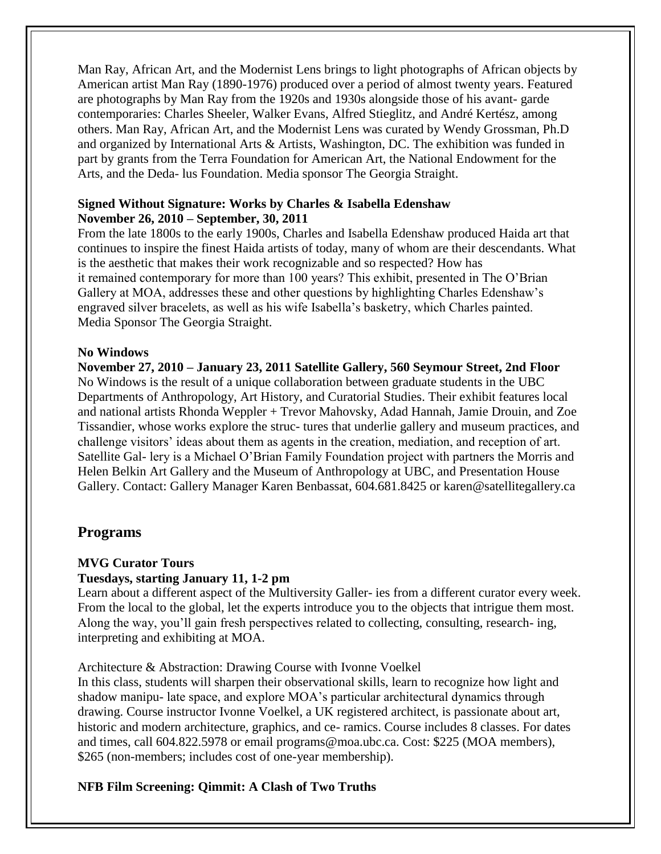Man Ray, African Art, and the Modernist Lens brings to light photographs of African objects by American artist Man Ray (1890-1976) produced over a period of almost twenty years. Featured are photographs by Man Ray from the 1920s and 1930s alongside those of his avant- garde contemporaries: Charles Sheeler, Walker Evans, Alfred Stieglitz, and André Kertész, among others. Man Ray, African Art, and the Modernist Lens was curated by Wendy Grossman, Ph.D and organized by International Arts & Artists, Washington, DC. The exhibition was funded in part by grants from the Terra Foundation for American Art, the National Endowment for the Arts, and the Deda- lus Foundation. Media sponsor The Georgia Straight.

#### **Signed Without Signature: Works by Charles & Isabella Edenshaw November 26, 2010 – September, 30, 2011**

From the late 1800s to the early 1900s, Charles and Isabella Edenshaw produced Haida art that continues to inspire the finest Haida artists of today, many of whom are their descendants. What is the aesthetic that makes their work recognizable and so respected? How has it remained contemporary for more than 100 years? This exhibit, presented in The O'Brian Gallery at MOA, addresses these and other questions by highlighting Charles Edenshaw's engraved silver bracelets, as well as his wife Isabella's basketry, which Charles painted. Media Sponsor The Georgia Straight.

#### **No Windows**

**November 27, 2010 – January 23, 2011 Satellite Gallery, 560 Seymour Street, 2nd Floor** No Windows is the result of a unique collaboration between graduate students in the UBC Departments of Anthropology, Art History, and Curatorial Studies. Their exhibit features local and national artists Rhonda Weppler + Trevor Mahovsky, Adad Hannah, Jamie Drouin, and Zoe Tissandier, whose works explore the struc- tures that underlie gallery and museum practices, and challenge visitors' ideas about them as agents in the creation, mediation, and reception of art. Satellite Gal- lery is a Michael O'Brian Family Foundation project with partners the Morris and Helen Belkin Art Gallery and the Museum of Anthropology at UBC, and Presentation House Gallery. Contact: Gallery Manager Karen Benbassat, 604.681.8425 or karen@satellitegallery.ca

### **Programs**

#### **MVG Curator Tours**

#### **Tuesdays, starting January 11, 1-2 pm**

Learn about a different aspect of the Multiversity Galler- ies from a different curator every week. From the local to the global, let the experts introduce you to the objects that intrigue them most. Along the way, you'll gain fresh perspectives related to collecting, consulting, research- ing, interpreting and exhibiting at MOA.

Architecture & Abstraction: Drawing Course with Ivonne Voelkel

In this class, students will sharpen their observational skills, learn to recognize how light and shadow manipu- late space, and explore MOA's particular architectural dynamics through drawing. Course instructor Ivonne Voelkel, a UK registered architect, is passionate about art, historic and modern architecture, graphics, and ce- ramics. Course includes 8 classes. For dates and times, call 604.822.5978 or email programs@moa.ubc.ca. Cost: \$225 (MOA members), \$265 (non-members; includes cost of one-year membership).

#### **NFB Film Screening: Qimmit: A Clash of Two Truths**